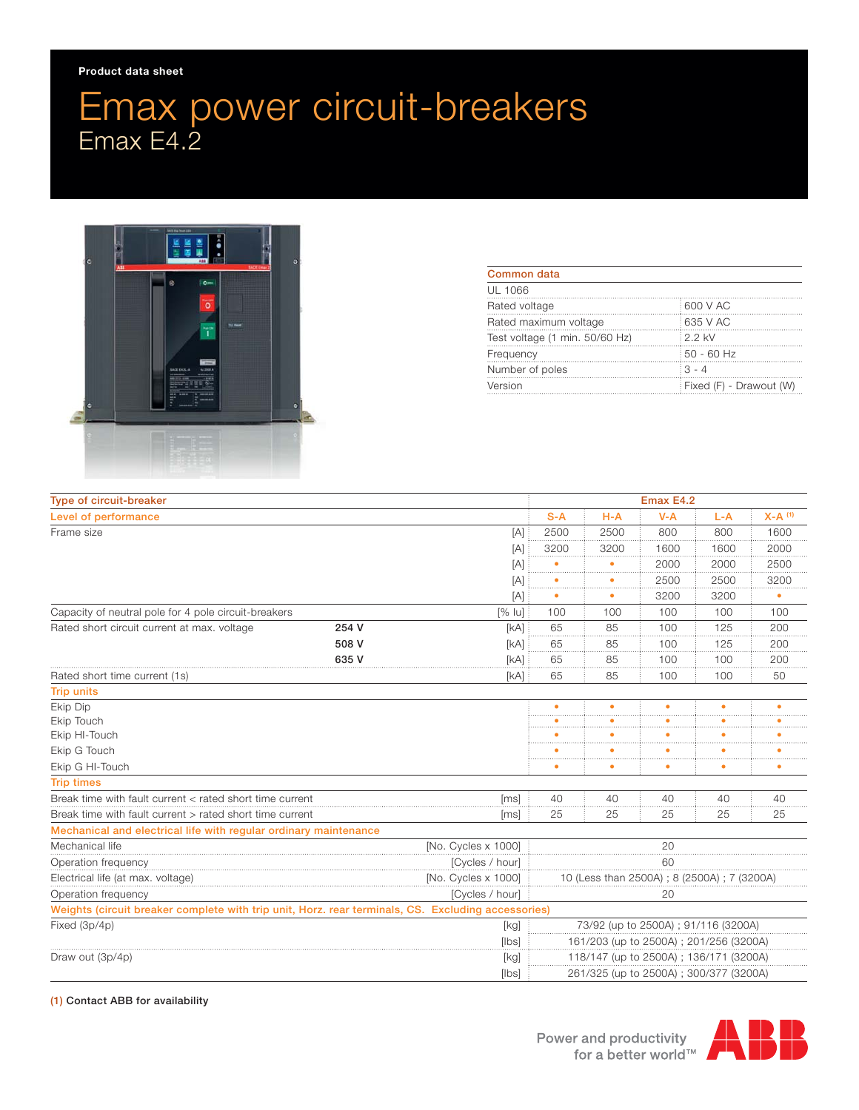## Emax power circuit-breakers Emax E4.2



| Common data                    |                         |
|--------------------------------|-------------------------|
| UL 1066                        |                         |
| Rated voltage                  | 600 V AC                |
| Rated maximum voltage          | 635 V AC                |
| Test voltage (1 min. 50/60 Hz) | : 2.2 kV                |
| Frequency                      | 50 - 60 Hz              |
| Number of poles                | $3 - 4$                 |
| Version                        | Fixed (F) - Drawout (W) |

| <b>Type of circuit-breaker</b>                                                                     |                     |                                        | Emax E4.2                              |                                            |         |       |                      |  |
|----------------------------------------------------------------------------------------------------|---------------------|----------------------------------------|----------------------------------------|--------------------------------------------|---------|-------|----------------------|--|
| Level of performance                                                                               |                     |                                        | $S-A$                                  | $H-A$                                      | $V - A$ | $L-A$ | $X-A$ <sup>(1)</sup> |  |
| Frame size                                                                                         |                     | [A]                                    | 2500                                   | 2500                                       | 800     | 800   | 1600                 |  |
|                                                                                                    |                     | [A]                                    | 3200                                   | 3200                                       | 1600    | 1600  | 2000                 |  |
|                                                                                                    |                     | $[{\mathsf A}]$                        |                                        |                                            | 2000    | 2000  | 2500                 |  |
|                                                                                                    |                     | [A]                                    |                                        |                                            | 2500    | 2500  | 3200                 |  |
|                                                                                                    |                     | [A]                                    |                                        |                                            | 3200    | 3200  | ٠                    |  |
| Capacity of neutral pole for 4 pole circuit-breakers<br>$[%$ lu]                                   |                     |                                        | 100                                    | 100                                        | 100     | 100   | 100                  |  |
| Rated short circuit current at max. voltage                                                        | 254 V               | [kA]                                   | 65                                     | 85                                         | 100     | 125   | 200                  |  |
|                                                                                                    | 508 V               | [kA]                                   | 65                                     | 85                                         | 100     | 125   | 200                  |  |
|                                                                                                    | 635 V               | [kA]                                   | 65                                     | 85                                         | 100     | 100   | 200                  |  |
| Rated short time current (1s)                                                                      |                     | [kA]                                   | 65                                     | 85                                         | 100     | 100   | 50                   |  |
| <b>Trip units</b>                                                                                  |                     |                                        |                                        |                                            |         |       |                      |  |
| Ekip Dip                                                                                           |                     |                                        |                                        |                                            |         |       |                      |  |
| Ekip Touch                                                                                         |                     |                                        |                                        |                                            |         |       |                      |  |
| Ekip HI-Touch                                                                                      |                     |                                        |                                        |                                            |         |       |                      |  |
| Ekip G Touch                                                                                       |                     |                                        |                                        |                                            |         |       |                      |  |
| Ekip G HI-Touch                                                                                    |                     |                                        |                                        |                                            |         |       |                      |  |
| <b>Trip times</b>                                                                                  |                     |                                        |                                        |                                            |         |       |                      |  |
| Break time with fault current < rated short time current<br>[ms]                                   |                     |                                        | 40                                     | 40                                         | 40      | 40    | 40                   |  |
| Break time with fault current > rated short time current<br>[ms]                                   |                     |                                        | 25                                     | 25                                         | 25      | 25    | 25                   |  |
| Mechanical and electrical life with regular ordinary maintenance                                   |                     |                                        |                                        |                                            |         |       |                      |  |
| Mechanical life<br>[No. Cycles x 1000]                                                             |                     |                                        | 20                                     |                                            |         |       |                      |  |
| Operation frequency                                                                                | [Cycles / hour]     |                                        |                                        | 60                                         |         |       |                      |  |
| Electrical life (at max. voltage)                                                                  | [No. Cycles x 1000] |                                        |                                        | 10 (Less than 2500A); 8 (2500A); 7 (3200A) |         |       |                      |  |
| [Cycles / hour]<br>Operation frequency                                                             |                     |                                        | 20                                     |                                            |         |       |                      |  |
| Weights (circuit breaker complete with trip unit, Horz. rear terminals, CS. Excluding accessories) |                     |                                        |                                        |                                            |         |       |                      |  |
| Fixed (3p/4p)<br>[kg]<br>[ bs]                                                                     |                     | 73/92 (up to 2500A) ; 91/116 (3200A)   |                                        |                                            |         |       |                      |  |
|                                                                                                    |                     | 161/203 (up to 2500A); 201/256 (3200A) |                                        |                                            |         |       |                      |  |
| Draw out (3p/4p)                                                                                   |                     | [kg]                                   | 118/147 (up to 2500A); 136/171 (3200A) |                                            |         |       |                      |  |
|                                                                                                    |                     | [ bs]                                  |                                        | 261/325 (up to 2500A); 300/377 (3200A)     |         |       |                      |  |

## (1) Contact ABB for availability